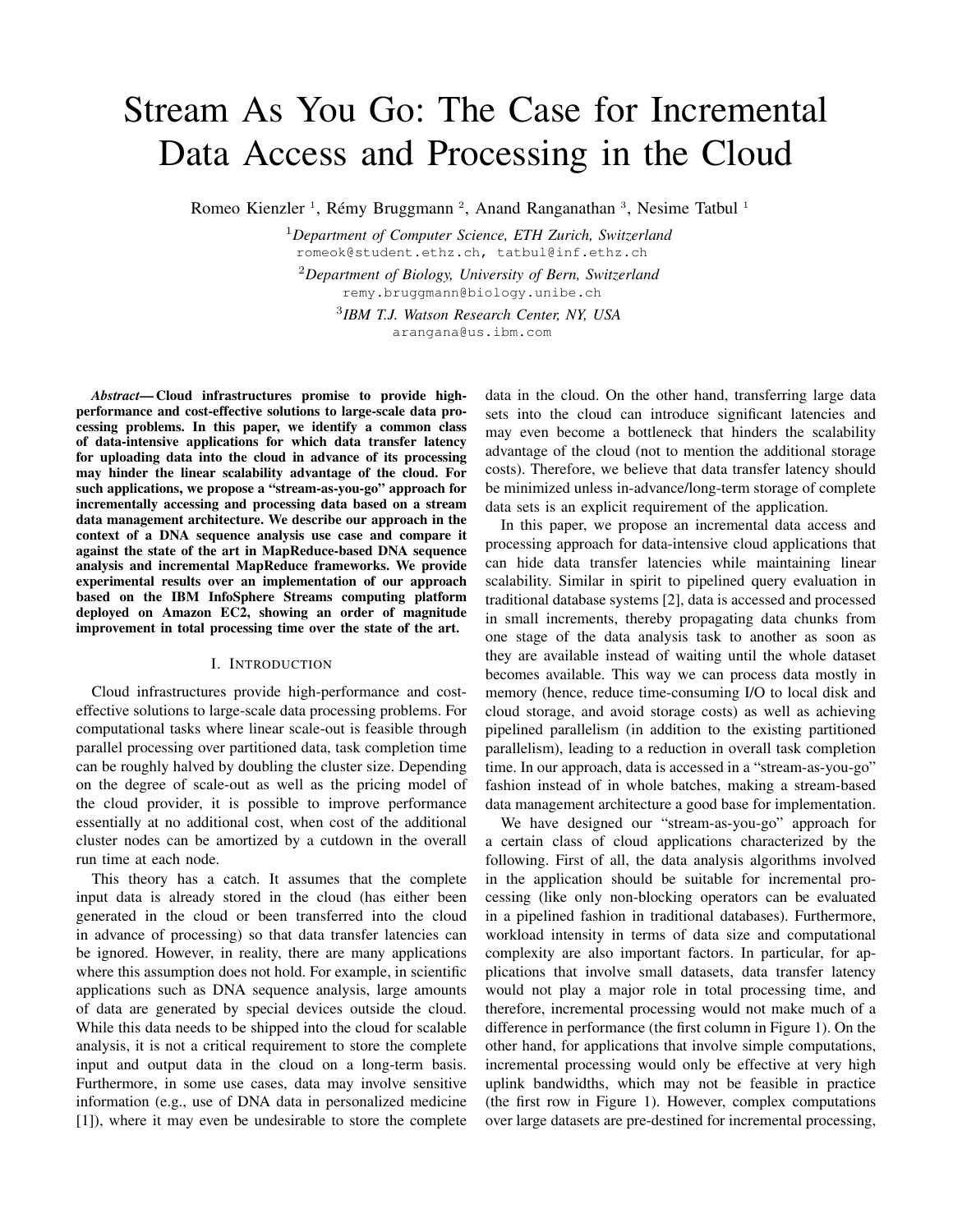# Stream As You Go: The Case for Incremental Data Access and Processing in the Cloud

Romeo Kienzler<sup>1</sup>, Rémy Bruggmann<sup>2</sup>, Anand Ranganathan<sup>3</sup>, Nesime Tatbul<sup>1</sup>

<sup>1</sup>*Department of Computer Science, ETH Zurich, Switzerland* romeok@student.ethz.ch, tatbul@inf.ethz.ch

<sup>2</sup>*Department of Biology, University of Bern, Switzerland* remy.bruggmann@biology.unibe.ch

> 3 *IBM T.J. Watson Research Center, NY, USA* arangana@us.ibm.com

*Abstract*— Cloud infrastructures promise to provide highperformance and cost-effective solutions to large-scale data processing problems. In this paper, we identify a common class of data-intensive applications for which data transfer latency for uploading data into the cloud in advance of its processing may hinder the linear scalability advantage of the cloud. For such applications, we propose a "stream-as-you-go" approach for incrementally accessing and processing data based on a stream data management architecture. We describe our approach in the context of a DNA sequence analysis use case and compare it against the state of the art in MapReduce-based DNA sequence analysis and incremental MapReduce frameworks. We provide experimental results over an implementation of our approach based on the IBM InfoSphere Streams computing platform deployed on Amazon EC2, showing an order of magnitude improvement in total processing time over the state of the art.

#### I. INTRODUCTION

Cloud infrastructures provide high-performance and costeffective solutions to large-scale data processing problems. For computational tasks where linear scale-out is feasible through parallel processing over partitioned data, task completion time can be roughly halved by doubling the cluster size. Depending on the degree of scale-out as well as the pricing model of the cloud provider, it is possible to improve performance essentially at no additional cost, when cost of the additional cluster nodes can be amortized by a cutdown in the overall run time at each node.

This theory has a catch. It assumes that the complete input data is already stored in the cloud (has either been generated in the cloud or been transferred into the cloud in advance of processing) so that data transfer latencies can be ignored. However, in reality, there are many applications where this assumption does not hold. For example, in scientific applications such as DNA sequence analysis, large amounts of data are generated by special devices outside the cloud. While this data needs to be shipped into the cloud for scalable analysis, it is not a critical requirement to store the complete input and output data in the cloud on a long-term basis. Furthermore, in some use cases, data may involve sensitive information (e.g., use of DNA data in personalized medicine [1]), where it may even be undesirable to store the complete

data in the cloud. On the other hand, transferring large data sets into the cloud can introduce significant latencies and may even become a bottleneck that hinders the scalability advantage of the cloud (not to mention the additional storage costs). Therefore, we believe that data transfer latency should be minimized unless in-advance/long-term storage of complete data sets is an explicit requirement of the application.

In this paper, we propose an incremental data access and processing approach for data-intensive cloud applications that can hide data transfer latencies while maintaining linear scalability. Similar in spirit to pipelined query evaluation in traditional database systems [2], data is accessed and processed in small increments, thereby propagating data chunks from one stage of the data analysis task to another as soon as they are available instead of waiting until the whole dataset becomes available. This way we can process data mostly in memory (hence, reduce time-consuming I/O to local disk and cloud storage, and avoid storage costs) as well as achieving pipelined parallelism (in addition to the existing partitioned parallelism), leading to a reduction in overall task completion time. In our approach, data is accessed in a "stream-as-you-go" fashion instead of in whole batches, making a stream-based data management architecture a good base for implementation.

We have designed our "stream-as-you-go" approach for a certain class of cloud applications characterized by the following. First of all, the data analysis algorithms involved in the application should be suitable for incremental processing (like only non-blocking operators can be evaluated in a pipelined fashion in traditional databases). Furthermore, workload intensity in terms of data size and computational complexity are also important factors. In particular, for applications that involve small datasets, data transfer latency would not play a major role in total processing time, and therefore, incremental processing would not make much of a difference in performance (the first column in Figure 1). On the other hand, for applications that involve simple computations, incremental processing would only be effective at very high uplink bandwidths, which may not be feasible in practice (the first row in Figure 1). However, complex computations over large datasets are pre-destined for incremental processing,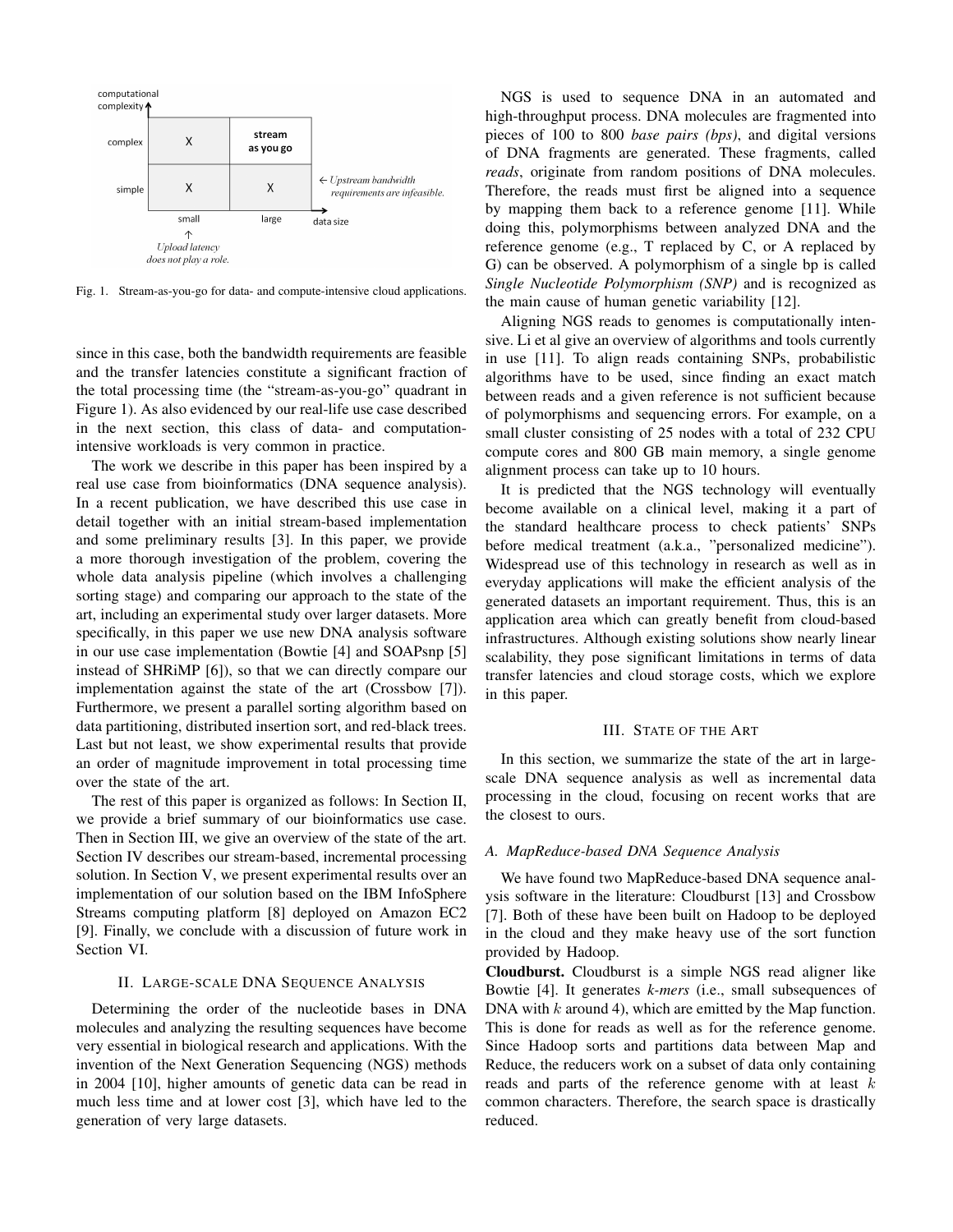

Fig. 1. Stream-as-you-go for data- and compute-intensive cloud applications.

since in this case, both the bandwidth requirements are feasible and the transfer latencies constitute a significant fraction of the total processing time (the "stream-as-you-go" quadrant in Figure 1). As also evidenced by our real-life use case described in the next section, this class of data- and computationintensive workloads is very common in practice.

The work we describe in this paper has been inspired by a real use case from bioinformatics (DNA sequence analysis). In a recent publication, we have described this use case in detail together with an initial stream-based implementation and some preliminary results [3]. In this paper, we provide a more thorough investigation of the problem, covering the whole data analysis pipeline (which involves a challenging sorting stage) and comparing our approach to the state of the art, including an experimental study over larger datasets. More specifically, in this paper we use new DNA analysis software in our use case implementation (Bowtie [4] and SOAPsnp [5] instead of SHRiMP [6]), so that we can directly compare our implementation against the state of the art (Crossbow [7]). Furthermore, we present a parallel sorting algorithm based on data partitioning, distributed insertion sort, and red-black trees. Last but not least, we show experimental results that provide an order of magnitude improvement in total processing time over the state of the art.

The rest of this paper is organized as follows: In Section II, we provide a brief summary of our bioinformatics use case. Then in Section III, we give an overview of the state of the art. Section IV describes our stream-based, incremental processing solution. In Section V, we present experimental results over an implementation of our solution based on the IBM InfoSphere Streams computing platform [8] deployed on Amazon EC2 [9]. Finally, we conclude with a discussion of future work in Section VI.

#### II. LARGE-SCALE DNA SEQUENCE ANALYSIS

Determining the order of the nucleotide bases in DNA molecules and analyzing the resulting sequences have become very essential in biological research and applications. With the invention of the Next Generation Sequencing (NGS) methods in 2004 [10], higher amounts of genetic data can be read in much less time and at lower cost [3], which have led to the generation of very large datasets.

NGS is used to sequence DNA in an automated and high-throughput process. DNA molecules are fragmented into pieces of 100 to 800 *base pairs (bps)*, and digital versions of DNA fragments are generated. These fragments, called *reads*, originate from random positions of DNA molecules. Therefore, the reads must first be aligned into a sequence by mapping them back to a reference genome [11]. While doing this, polymorphisms between analyzed DNA and the reference genome (e.g., T replaced by C, or A replaced by G) can be observed. A polymorphism of a single bp is called *Single Nucleotide Polymorphism (SNP)* and is recognized as the main cause of human genetic variability [12].

Aligning NGS reads to genomes is computationally intensive. Li et al give an overview of algorithms and tools currently in use [11]. To align reads containing SNPs, probabilistic algorithms have to be used, since finding an exact match between reads and a given reference is not sufficient because of polymorphisms and sequencing errors. For example, on a small cluster consisting of 25 nodes with a total of 232 CPU compute cores and 800 GB main memory, a single genome alignment process can take up to 10 hours.

It is predicted that the NGS technology will eventually become available on a clinical level, making it a part of the standard healthcare process to check patients' SNPs before medical treatment (a.k.a., "personalized medicine"). Widespread use of this technology in research as well as in everyday applications will make the efficient analysis of the generated datasets an important requirement. Thus, this is an application area which can greatly benefit from cloud-based infrastructures. Although existing solutions show nearly linear scalability, they pose significant limitations in terms of data transfer latencies and cloud storage costs, which we explore in this paper.

#### III. STATE OF THE ART

In this section, we summarize the state of the art in largescale DNA sequence analysis as well as incremental data processing in the cloud, focusing on recent works that are the closest to ours.

#### *A. MapReduce-based DNA Sequence Analysis*

We have found two MapReduce-based DNA sequence analysis software in the literature: Cloudburst [13] and Crossbow [7]. Both of these have been built on Hadoop to be deployed in the cloud and they make heavy use of the sort function provided by Hadoop.

Cloudburst. Cloudburst is a simple NGS read aligner like Bowtie [4]. It generates *k-mers* (i.e., small subsequences of DNA with  $k$  around 4), which are emitted by the Map function. This is done for reads as well as for the reference genome. Since Hadoop sorts and partitions data between Map and Reduce, the reducers work on a subset of data only containing reads and parts of the reference genome with at least k common characters. Therefore, the search space is drastically reduced.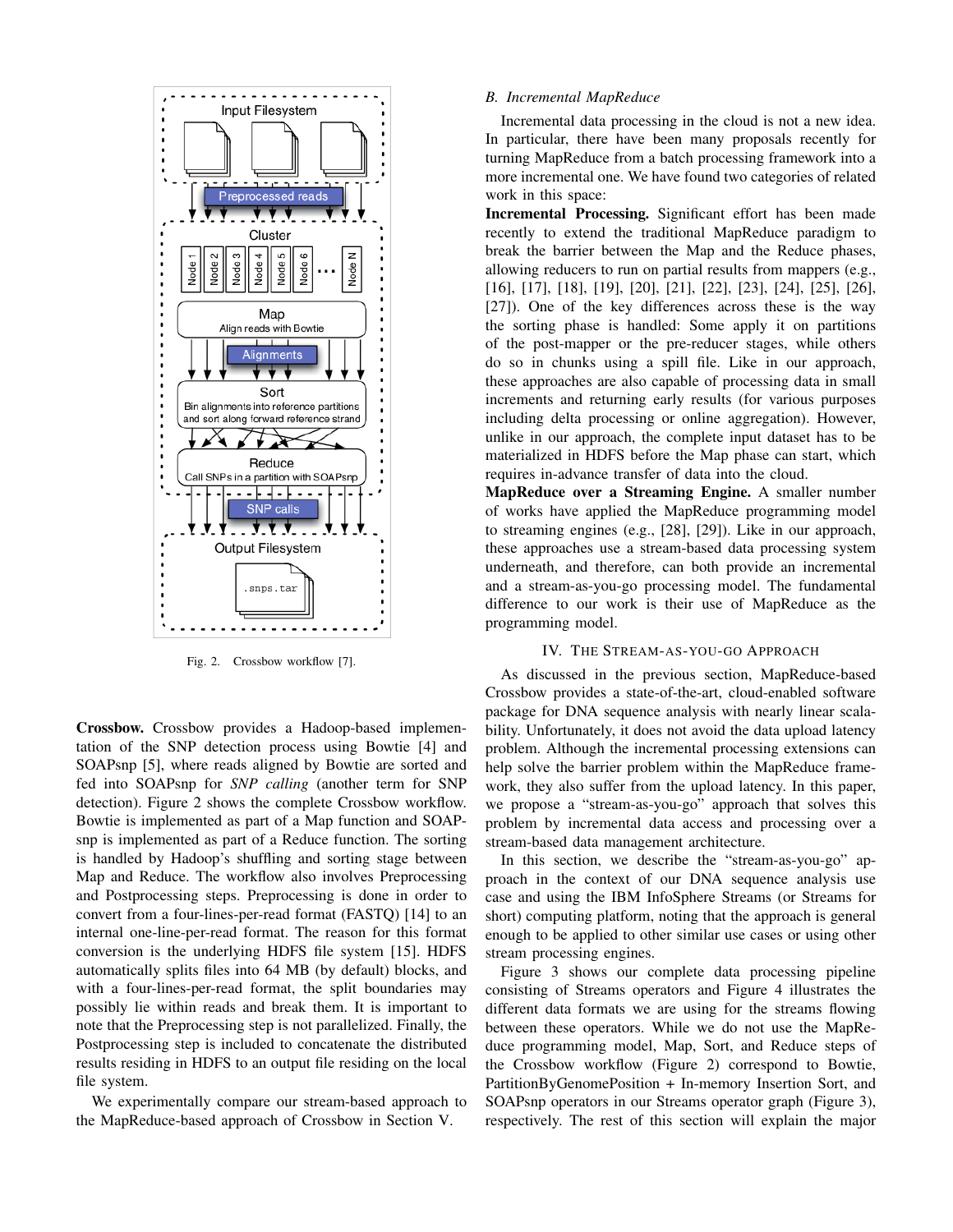

Fig. 2. Crossbow workflow [7].

Crossbow. Crossbow provides a Hadoop-based implementation of the SNP detection process using Bowtie [4] and SOAPsnp [5], where reads aligned by Bowtie are sorted and fed into SOAPsnp for *SNP calling* (another term for SNP detection). Figure 2 shows the complete Crossbow workflow. Bowtie is implemented as part of a Map function and SOAPsnp is implemented as part of a Reduce function. The sorting is handled by Hadoop's shuffling and sorting stage between Map and Reduce. The workflow also involves Preprocessing and Postprocessing steps. Preprocessing is done in order to convert from a four-lines-per-read format (FASTQ) [14] to an internal one-line-per-read format. The reason for this format conversion is the underlying HDFS file system [15]. HDFS automatically splits files into 64 MB (by default) blocks, and with a four-lines-per-read format, the split boundaries may possibly lie within reads and break them. It is important to note that the Preprocessing step is not parallelized. Finally, the Postprocessing step is included to concatenate the distributed results residing in HDFS to an output file residing on the local file system.

We experimentally compare our stream-based approach to the MapReduce-based approach of Crossbow in Section V.

#### *B. Incremental MapReduce*

Incremental data processing in the cloud is not a new idea. In particular, there have been many proposals recently for turning MapReduce from a batch processing framework into a more incremental one. We have found two categories of related work in this space:

Incremental Processing. Significant effort has been made recently to extend the traditional MapReduce paradigm to break the barrier between the Map and the Reduce phases, allowing reducers to run on partial results from mappers (e.g., [16], [17], [18], [19], [20], [21], [22], [23], [24], [25], [26], [27]). One of the key differences across these is the way the sorting phase is handled: Some apply it on partitions of the post-mapper or the pre-reducer stages, while others do so in chunks using a spill file. Like in our approach, these approaches are also capable of processing data in small increments and returning early results (for various purposes including delta processing or online aggregation). However, unlike in our approach, the complete input dataset has to be materialized in HDFS before the Map phase can start, which requires in-advance transfer of data into the cloud.

MapReduce over a Streaming Engine. A smaller number of works have applied the MapReduce programming model to streaming engines (e.g., [28], [29]). Like in our approach, these approaches use a stream-based data processing system underneath, and therefore, can both provide an incremental and a stream-as-you-go processing model. The fundamental difference to our work is their use of MapReduce as the programming model.

### IV. THE STREAM-AS-YOU-GO APPROACH

As discussed in the previous section, MapReduce-based Crossbow provides a state-of-the-art, cloud-enabled software package for DNA sequence analysis with nearly linear scalability. Unfortunately, it does not avoid the data upload latency problem. Although the incremental processing extensions can help solve the barrier problem within the MapReduce framework, they also suffer from the upload latency. In this paper, we propose a "stream-as-you-go" approach that solves this problem by incremental data access and processing over a stream-based data management architecture.

In this section, we describe the "stream-as-you-go" approach in the context of our DNA sequence analysis use case and using the IBM InfoSphere Streams (or Streams for short) computing platform, noting that the approach is general enough to be applied to other similar use cases or using other stream processing engines.

Figure 3 shows our complete data processing pipeline consisting of Streams operators and Figure 4 illustrates the different data formats we are using for the streams flowing between these operators. While we do not use the MapReduce programming model, Map, Sort, and Reduce steps of the Crossbow workflow (Figure 2) correspond to Bowtie, PartitionByGenomePosition + In-memory Insertion Sort, and SOAPsnp operators in our Streams operator graph (Figure 3), respectively. The rest of this section will explain the major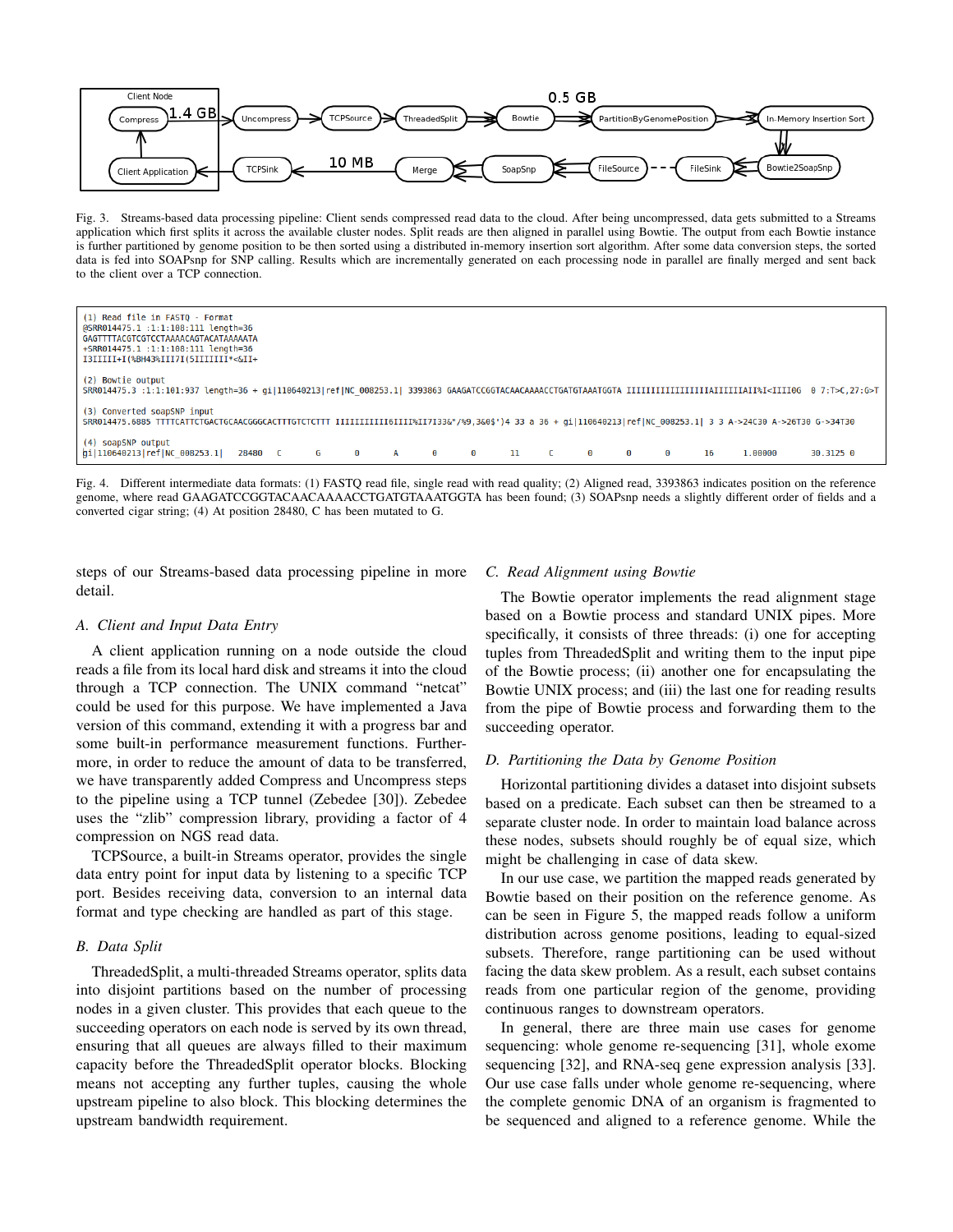

Fig. 3. Streams-based data processing pipeline: Client sends compressed read data to the cloud. After being uncompressed, data gets submitted to a Streams application which first splits it across the available cluster nodes. Split reads are then aligned in parallel using Bowtie. The output from each Bowtie instance is further partitioned by genome position to be then sorted using a distributed in-memory insertion sort algorithm. After some data conversion steps, the sorted data is fed into SOAPsnp for SNP calling. Results which are incrementally generated on each processing node in parallel are finally merged and sent back to the client over a TCP connection.

| (1) Read file in FASTO - Format<br>@SRR014475.1 :1:1:108:111 length=36<br>GAGTTTTACGTCGTCCTAAAACAGTACATAAAAATA<br>+SRR014475.1 :1:1:108:111 length=36<br>  I3IIIII+I(%BH43%III7I(5IIIIIIII*<&II+ |         |  |   |          |   |          |                       |    |  |   |   |   |    |         |           |
|--------------------------------------------------------------------------------------------------------------------------------------------------------------------------------------------------|---------|--|---|----------|---|----------|-----------------------|----|--|---|---|---|----|---------|-----------|
| (2) Bowtie output                                                                                                                                                                                |         |  |   |          |   |          |                       |    |  |   |   |   |    |         |           |
| (3) Converted soapSNP input                                                                                                                                                                      |         |  |   |          |   |          |                       |    |  |   |   |   |    |         |           |
| (4) soapSNP output<br>qi 110640213 ref NC 008253.1                                                                                                                                               | 28480 C |  | G | $\Theta$ | A | $\Theta$ | $\boldsymbol{\Theta}$ | 11 |  | Θ | Θ | 0 | 16 | 1.00000 | 30.3125 0 |

Fig. 4. Different intermediate data formats: (1) FASTQ read file, single read with read quality; (2) Aligned read, 3393863 indicates position on the reference genome, where read GAAGATCCGGTACAACAAAACCTGATGTAAATGGTA has been found; (3) SOAPsnp needs a slightly different order of fields and a converted cigar string; (4) At position 28480, C has been mutated to G.

steps of our Streams-based data processing pipeline in more detail.

#### *A. Client and Input Data Entry*

A client application running on a node outside the cloud reads a file from its local hard disk and streams it into the cloud through a TCP connection. The UNIX command "netcat" could be used for this purpose. We have implemented a Java version of this command, extending it with a progress bar and some built-in performance measurement functions. Furthermore, in order to reduce the amount of data to be transferred, we have transparently added Compress and Uncompress steps to the pipeline using a TCP tunnel (Zebedee [30]). Zebedee uses the "zlib" compression library, providing a factor of 4 compression on NGS read data.

TCPSource, a built-in Streams operator, provides the single data entry point for input data by listening to a specific TCP port. Besides receiving data, conversion to an internal data format and type checking are handled as part of this stage.

#### *B. Data Split*

ThreadedSplit, a multi-threaded Streams operator, splits data into disjoint partitions based on the number of processing nodes in a given cluster. This provides that each queue to the succeeding operators on each node is served by its own thread, ensuring that all queues are always filled to their maximum capacity before the ThreadedSplit operator blocks. Blocking means not accepting any further tuples, causing the whole upstream pipeline to also block. This blocking determines the upstream bandwidth requirement.

#### *C. Read Alignment using Bowtie*

The Bowtie operator implements the read alignment stage based on a Bowtie process and standard UNIX pipes. More specifically, it consists of three threads: (i) one for accepting tuples from ThreadedSplit and writing them to the input pipe of the Bowtie process; (ii) another one for encapsulating the Bowtie UNIX process; and (iii) the last one for reading results from the pipe of Bowtie process and forwarding them to the succeeding operator.

#### *D. Partitioning the Data by Genome Position*

Horizontal partitioning divides a dataset into disjoint subsets based on a predicate. Each subset can then be streamed to a separate cluster node. In order to maintain load balance across these nodes, subsets should roughly be of equal size, which might be challenging in case of data skew.

In our use case, we partition the mapped reads generated by Bowtie based on their position on the reference genome. As can be seen in Figure 5, the mapped reads follow a uniform distribution across genome positions, leading to equal-sized subsets. Therefore, range partitioning can be used without facing the data skew problem. As a result, each subset contains reads from one particular region of the genome, providing continuous ranges to downstream operators.

In general, there are three main use cases for genome sequencing: whole genome re-sequencing [31], whole exome sequencing [32], and RNA-seq gene expression analysis [33]. Our use case falls under whole genome re-sequencing, where the complete genomic DNA of an organism is fragmented to be sequenced and aligned to a reference genome. While the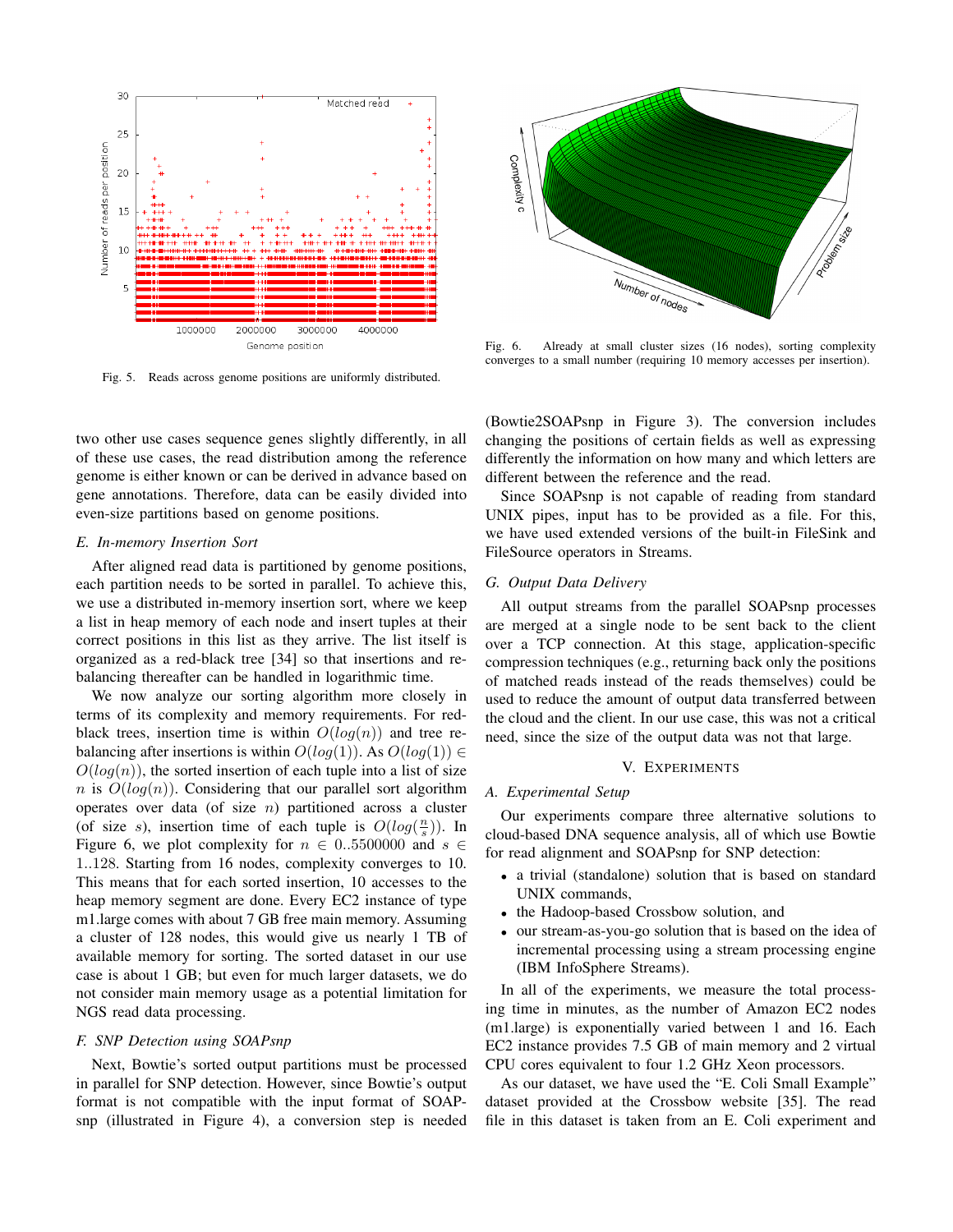

Fig. 5. Reads across genome positions are uniformly distributed.

two other use cases sequence genes slightly differently, in all of these use cases, the read distribution among the reference genome is either known or can be derived in advance based on gene annotations. Therefore, data can be easily divided into even-size partitions based on genome positions.

#### *E. In-memory Insertion Sort*

After aligned read data is partitioned by genome positions, each partition needs to be sorted in parallel. To achieve this, we use a distributed in-memory insertion sort, where we keep a list in heap memory of each node and insert tuples at their correct positions in this list as they arrive. The list itself is organized as a red-black tree [34] so that insertions and rebalancing thereafter can be handled in logarithmic time.

We now analyze our sorting algorithm more closely in terms of its complexity and memory requirements. For redblack trees, insertion time is within  $O(log(n))$  and tree rebalancing after insertions is within  $O(log(1))$ . As  $O(log(1)) \in$  $O(log(n))$ , the sorted insertion of each tuple into a list of size n is  $O(log(n))$ . Considering that our parallel sort algorithm operates over data (of size  $n$ ) partitioned across a cluster (of size s), insertion time of each tuple is  $O(log(\frac{n}{s}))$ . In Figure 6, we plot complexity for  $n \in 0.05500000$  and  $s \in$ 1..128. Starting from 16 nodes, complexity converges to 10. This means that for each sorted insertion, 10 accesses to the heap memory segment are done. Every EC2 instance of type m1.large comes with about 7 GB free main memory. Assuming a cluster of 128 nodes, this would give us nearly 1 TB of available memory for sorting. The sorted dataset in our use case is about 1 GB; but even for much larger datasets, we do not consider main memory usage as a potential limitation for NGS read data processing.

#### *F. SNP Detection using SOAPsnp*

Next, Bowtie's sorted output partitions must be processed in parallel for SNP detection. However, since Bowtie's output format is not compatible with the input format of SOAPsnp (illustrated in Figure 4), a conversion step is needed



Fig. 6. Already at small cluster sizes (16 nodes), sorting complexity converges to a small number (requiring 10 memory accesses per insertion).

(Bowtie2SOAPsnp in Figure 3). The conversion includes changing the positions of certain fields as well as expressing differently the information on how many and which letters are different between the reference and the read.

Since SOAPsnp is not capable of reading from standard UNIX pipes, input has to be provided as a file. For this, we have used extended versions of the built-in FileSink and FileSource operators in Streams.

#### *G. Output Data Delivery*

All output streams from the parallel SOAPsnp processes are merged at a single node to be sent back to the client over a TCP connection. At this stage, application-specific compression techniques (e.g., returning back only the positions of matched reads instead of the reads themselves) could be used to reduce the amount of output data transferred between the cloud and the client. In our use case, this was not a critical need, since the size of the output data was not that large.

#### V. EXPERIMENTS

#### *A. Experimental Setup*

Our experiments compare three alternative solutions to cloud-based DNA sequence analysis, all of which use Bowtie for read alignment and SOAPsnp for SNP detection:

- a trivial (standalone) solution that is based on standard UNIX commands,
- the Hadoop-based Crossbow solution, and
- our stream-as-you-go solution that is based on the idea of incremental processing using a stream processing engine (IBM InfoSphere Streams).

In all of the experiments, we measure the total processing time in minutes, as the number of Amazon EC2 nodes (m1.large) is exponentially varied between 1 and 16. Each EC2 instance provides 7.5 GB of main memory and 2 virtual CPU cores equivalent to four 1.2 GHz Xeon processors.

As our dataset, we have used the "E. Coli Small Example" dataset provided at the Crossbow website [35]. The read file in this dataset is taken from an E. Coli experiment and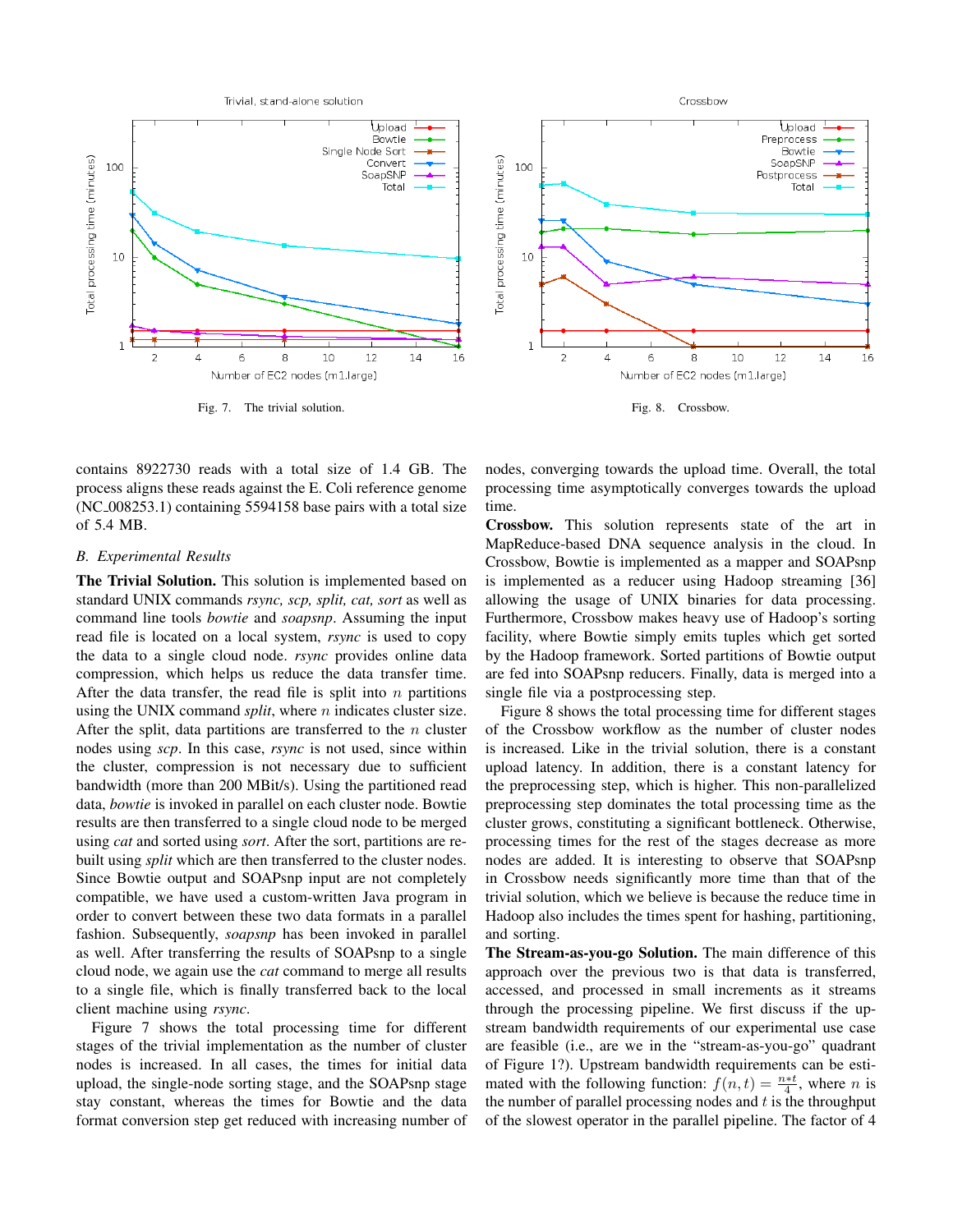

Fig. 7. The trivial solution.

Crossbow Upload Preprocess Bowtie processing time (minutes) SoapSNP 100 Postprocess Total  $10$ Tota  $\mathbf{1}$  $\overline{A}$ 6 8 10  $12$ 14 16 Number of EC2 nodes (m1.large)

Fig. 8. Crossbow.

contains 8922730 reads with a total size of 1.4 GB. The process aligns these reads against the E. Coli reference genome  $(NC_008253.1)$  containing 5594158 base pairs with a total size of 5.4 MB.

#### *B. Experimental Results*

The Trivial Solution. This solution is implemented based on standard UNIX commands *rsync, scp, split, cat, sort* as well as command line tools *bowtie* and *soapsnp*. Assuming the input read file is located on a local system, *rsync* is used to copy the data to a single cloud node. *rsync* provides online data compression, which helps us reduce the data transfer time. After the data transfer, the read file is split into  $n$  partitions using the UNIX command *split*, where n indicates cluster size. After the split, data partitions are transferred to the  $n$  cluster nodes using *scp*. In this case, *rsync* is not used, since within the cluster, compression is not necessary due to sufficient bandwidth (more than 200 MBit/s). Using the partitioned read data, *bowtie* is invoked in parallel on each cluster node. Bowtie results are then transferred to a single cloud node to be merged using *cat* and sorted using *sort*. After the sort, partitions are rebuilt using *split* which are then transferred to the cluster nodes. Since Bowtie output and SOAPsnp input are not completely compatible, we have used a custom-written Java program in order to convert between these two data formats in a parallel fashion. Subsequently, *soapsnp* has been invoked in parallel as well. After transferring the results of SOAPsnp to a single cloud node, we again use the *cat* command to merge all results to a single file, which is finally transferred back to the local client machine using *rsync*.

Figure 7 shows the total processing time for different stages of the trivial implementation as the number of cluster nodes is increased. In all cases, the times for initial data upload, the single-node sorting stage, and the SOAPsnp stage stay constant, whereas the times for Bowtie and the data format conversion step get reduced with increasing number of nodes, converging towards the upload time. Overall, the total processing time asymptotically converges towards the upload time.

Crossbow. This solution represents state of the art in MapReduce-based DNA sequence analysis in the cloud. In Crossbow, Bowtie is implemented as a mapper and SOAPsnp is implemented as a reducer using Hadoop streaming [36] allowing the usage of UNIX binaries for data processing. Furthermore, Crossbow makes heavy use of Hadoop's sorting facility, where Bowtie simply emits tuples which get sorted by the Hadoop framework. Sorted partitions of Bowtie output are fed into SOAPsnp reducers. Finally, data is merged into a single file via a postprocessing step.

Figure 8 shows the total processing time for different stages of the Crossbow workflow as the number of cluster nodes is increased. Like in the trivial solution, there is a constant upload latency. In addition, there is a constant latency for the preprocessing step, which is higher. This non-parallelized preprocessing step dominates the total processing time as the cluster grows, constituting a significant bottleneck. Otherwise, processing times for the rest of the stages decrease as more nodes are added. It is interesting to observe that SOAPsnp in Crossbow needs significantly more time than that of the trivial solution, which we believe is because the reduce time in Hadoop also includes the times spent for hashing, partitioning, and sorting.

The Stream-as-you-go Solution. The main difference of this approach over the previous two is that data is transferred, accessed, and processed in small increments as it streams through the processing pipeline. We first discuss if the upstream bandwidth requirements of our experimental use case are feasible (i.e., are we in the "stream-as-you-go" quadrant of Figure 1?). Upstream bandwidth requirements can be estimated with the following function:  $f(n,t) = \frac{n*t}{4}$ , where *n* is the number of parallel processing nodes and  $t$  is the throughput of the slowest operator in the parallel pipeline. The factor of 4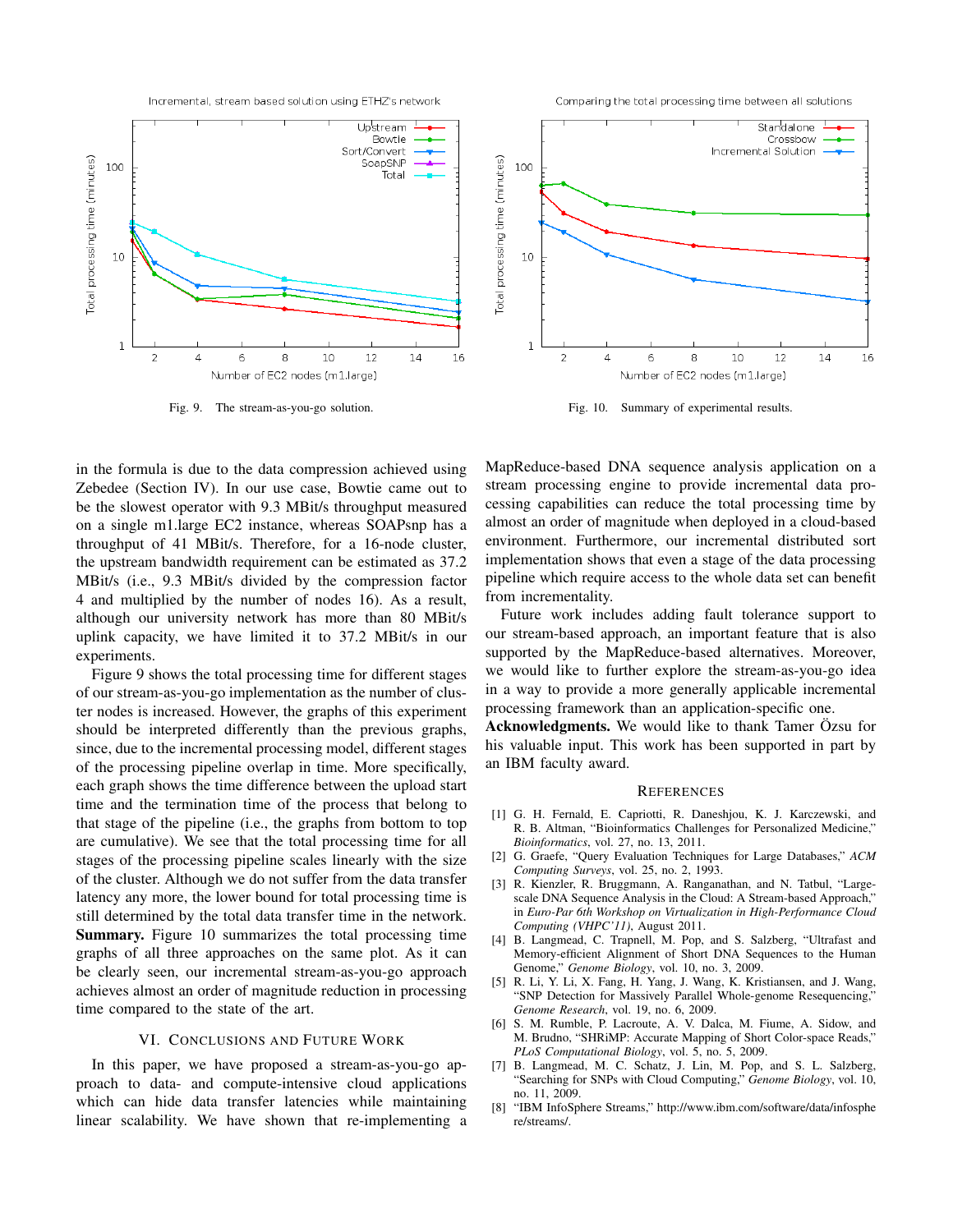Incremental, stream based solution using ETHZ's network

Comparing the total processing time between all solutions



Fig. 9. The stream-as-you-go solution.

Standalone Crossbow Incremental Solution processing time (minutes) 100 10 Total  $\mathbf{1}$ 2  $\overline{A}$ 6 8  $10$  $12$  $14$ 16 Number of EC2 nodes (m1.large)

Fig. 10. Summary of experimental results.

in the formula is due to the data compression achieved using Zebedee (Section IV). In our use case, Bowtie came out to be the slowest operator with 9.3 MBit/s throughput measured on a single m1.large EC2 instance, whereas SOAPsnp has a throughput of 41 MBit/s. Therefore, for a 16-node cluster, the upstream bandwidth requirement can be estimated as 37.2 MBit/s (i.e., 9.3 MBit/s divided by the compression factor 4 and multiplied by the number of nodes 16). As a result, although our university network has more than 80 MBit/s uplink capacity, we have limited it to 37.2 MBit/s in our experiments.

Figure 9 shows the total processing time for different stages of our stream-as-you-go implementation as the number of cluster nodes is increased. However, the graphs of this experiment should be interpreted differently than the previous graphs, since, due to the incremental processing model, different stages of the processing pipeline overlap in time. More specifically, each graph shows the time difference between the upload start time and the termination time of the process that belong to that stage of the pipeline (i.e., the graphs from bottom to top are cumulative). We see that the total processing time for all stages of the processing pipeline scales linearly with the size of the cluster. Although we do not suffer from the data transfer latency any more, the lower bound for total processing time is still determined by the total data transfer time in the network. Summary. Figure 10 summarizes the total processing time graphs of all three approaches on the same plot. As it can be clearly seen, our incremental stream-as-you-go approach achieves almost an order of magnitude reduction in processing time compared to the state of the art.

## VI. CONCLUSIONS AND FUTURE WORK

In this paper, we have proposed a stream-as-you-go approach to data- and compute-intensive cloud applications which can hide data transfer latencies while maintaining linear scalability. We have shown that re-implementing a MapReduce-based DNA sequence analysis application on a stream processing engine to provide incremental data processing capabilities can reduce the total processing time by almost an order of magnitude when deployed in a cloud-based environment. Furthermore, our incremental distributed sort implementation shows that even a stage of the data processing pipeline which require access to the whole data set can benefit from incrementality.

Future work includes adding fault tolerance support to our stream-based approach, an important feature that is also supported by the MapReduce-based alternatives. Moreover, we would like to further explore the stream-as-you-go idea in a way to provide a more generally applicable incremental processing framework than an application-specific one.

Acknowledgments. We would like to thank Tamer Özsu for his valuable input. This work has been supported in part by an IBM faculty award.

#### **REFERENCES**

- [1] G. H. Fernald, E. Capriotti, R. Daneshjou, K. J. Karczewski, and R. B. Altman, "Bioinformatics Challenges for Personalized Medicine," *Bioinformatics*, vol. 27, no. 13, 2011.
- [2] G. Graefe, "Query Evaluation Techniques for Large Databases," *ACM Computing Surveys*, vol. 25, no. 2, 1993.
- [3] R. Kienzler, R. Bruggmann, A. Ranganathan, and N. Tatbul, "Largescale DNA Sequence Analysis in the Cloud: A Stream-based Approach," in *Euro-Par 6th Workshop on Virtualization in High-Performance Cloud Computing (VHPC'11)*, August 2011.
- [4] B. Langmead, C. Trapnell, M. Pop, and S. Salzberg, "Ultrafast and Memory-efficient Alignment of Short DNA Sequences to the Human Genome," *Genome Biology*, vol. 10, no. 3, 2009.
- [5] R. Li, Y. Li, X. Fang, H. Yang, J. Wang, K. Kristiansen, and J. Wang, "SNP Detection for Massively Parallel Whole-genome Resequencing," *Genome Research*, vol. 19, no. 6, 2009.
- [6] S. M. Rumble, P. Lacroute, A. V. Dalca, M. Fiume, A. Sidow, and M. Brudno, "SHRiMP: Accurate Mapping of Short Color-space Reads," *PLoS Computational Biology*, vol. 5, no. 5, 2009.
- [7] B. Langmead, M. C. Schatz, J. Lin, M. Pop, and S. L. Salzberg, "Searching for SNPs with Cloud Computing," *Genome Biology*, vol. 10, no. 11, 2009.
- [8] "IBM InfoSphere Streams," http://www.ibm.com/software/data/infosphe re/streams/.